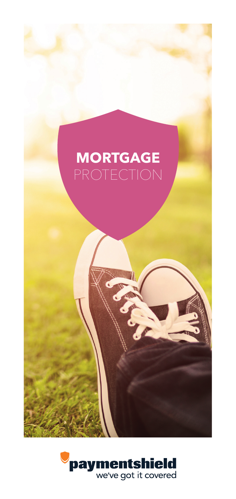# **MORTGAGE**

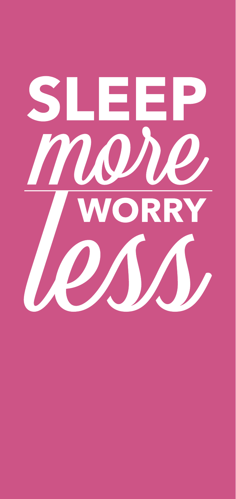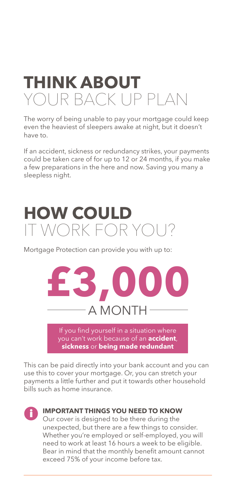### **THINK ABOUT**  YOUR BACK UP PLAN

The worry of being unable to pay your mortgage could keep even the heaviest of sleepers awake at night, but it doesn't have to.

If an accident, sickness or redundancy strikes, your payments could be taken care of for up to 12 or 24 months, if you make a few preparations in the here and now. Saving you many a sleepless night.

# **HOW COULD**  IT WORK FOR YOU?

Mortgage Protection can provide you with up to:



If you find yourself in a situation where you can't work because of an **accident**, **sickness** or **being made redundant**

This can be paid directly into your bank account and you can use this to cover your mortgage. Or, you can stretch your payments a little further and put it towards other household bills such as home insurance.



### **IMPORTANT THINGS YOU NEED TO KNOW**

Our cover is designed to be there during the unexpected, but there are a few things to consider. Whether you're employed or self-employed, you will need to work at least 16 hours a week to be eligible. Bear in mind that the monthly benefit amount cannot exceed 75% of your income before tax.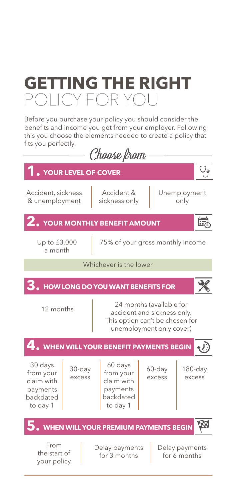# **GETTING THE RIGHT**  POLICY FOR YOU

Before you purchase your policy you should consider the benefits and income you get from your employer. Following this you choose the elements needed to create a policy that fits you perfectly.

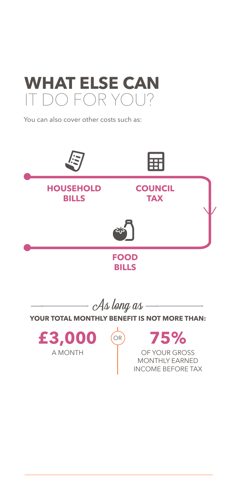

You can also cover other costs such as:

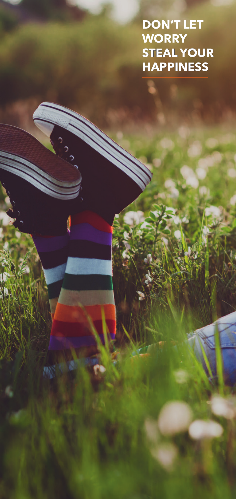**DON'T LET WORRY STEAL YOUR HAPPINESS**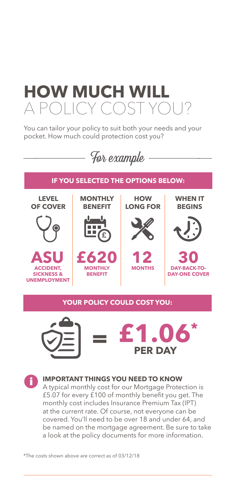# **HOW MUCH WILL**  $APOHCYCOST'$

You can tailor your policy to suit both your needs and your pocket. How much could protection cost you?







#### **IMPORTANT THINGS YOU NEED TO KNOW**

A typical monthly cost for our Mortgage Protection is £5.07 for every £100 of monthly benefit you get. The monthly cost includes Insurance Premium Tax (IPT) at the current rate. Of course, not everyone can be covered. You'll need to be over 18 and under 64, and be named on the mortgage agreement. Be sure to take a look at the policy documents for more information.